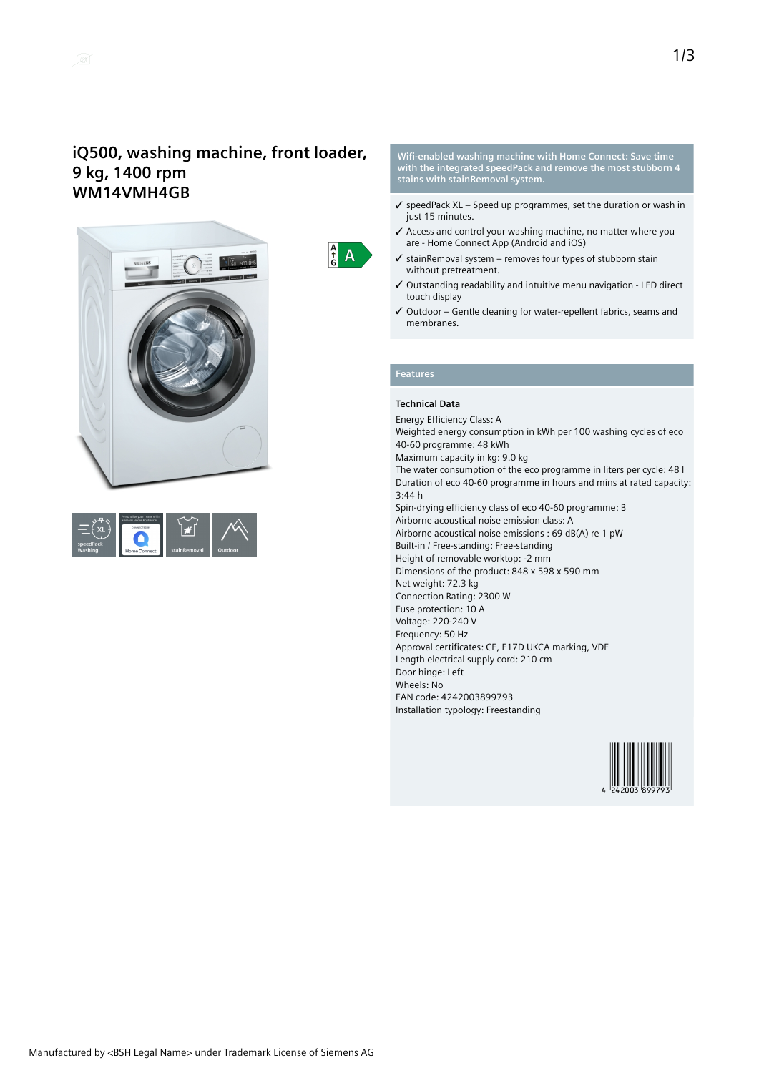## **iQ500, washing machine, front loader, 9 kg, 1400 rpm WM14VMH4GB**





**Wifi-enabled washing machine with Home Connect: Save time with the integrated speedPack and remove the most stubborn 4 stains with stainRemoval system.**

- $\checkmark$  speedPack XL Speed up programmes, set the duration or wash in just 15 minutes.
- ✓ Access and control your washing machine, no matter where you are - Home Connect App (Android and iOS)
- $\checkmark$  stainRemoval system removes four types of stubborn stain without pretreatment.
- ✓ Outstanding readability and intuitive menu navigation LED direct touch display
- ✓ Outdoor Gentle cleaning for water-repellent fabrics, seams and membranes.

## **Features**

 $\frac{A}{f}$  $\overline{A}$ 

### **Technical Data**

Energy Efficiency Class: A Weighted energy consumption in kWh per 100 washing cycles of eco 40-60 programme: 48 kWh Maximum capacity in kg: 9.0 kg The water consumption of the eco programme in liters per cycle: 48 l Duration of eco 40-60 programme in hours and mins at rated capacity: 3:44 h Spin-drying efficiency class of eco 40-60 programme: B Airborne acoustical noise emission class: A Airborne acoustical noise emissions : 69 dB(A) re 1 pW Built-in / Free-standing: Free-standing Height of removable worktop: -2 mm Dimensions of the product: 848 x 598 x 590 mm Net weight: 72.3 kg Connection Rating: 2300 W Fuse protection: 10 A Voltage: 220-240 V Frequency: 50 Hz Approval certificates: CE, E17D UKCA marking, VDE Length electrical supply cord: 210 cm Door hinge: Left Wheels: No EAN code: 4242003899793 Installation typology: Freestanding

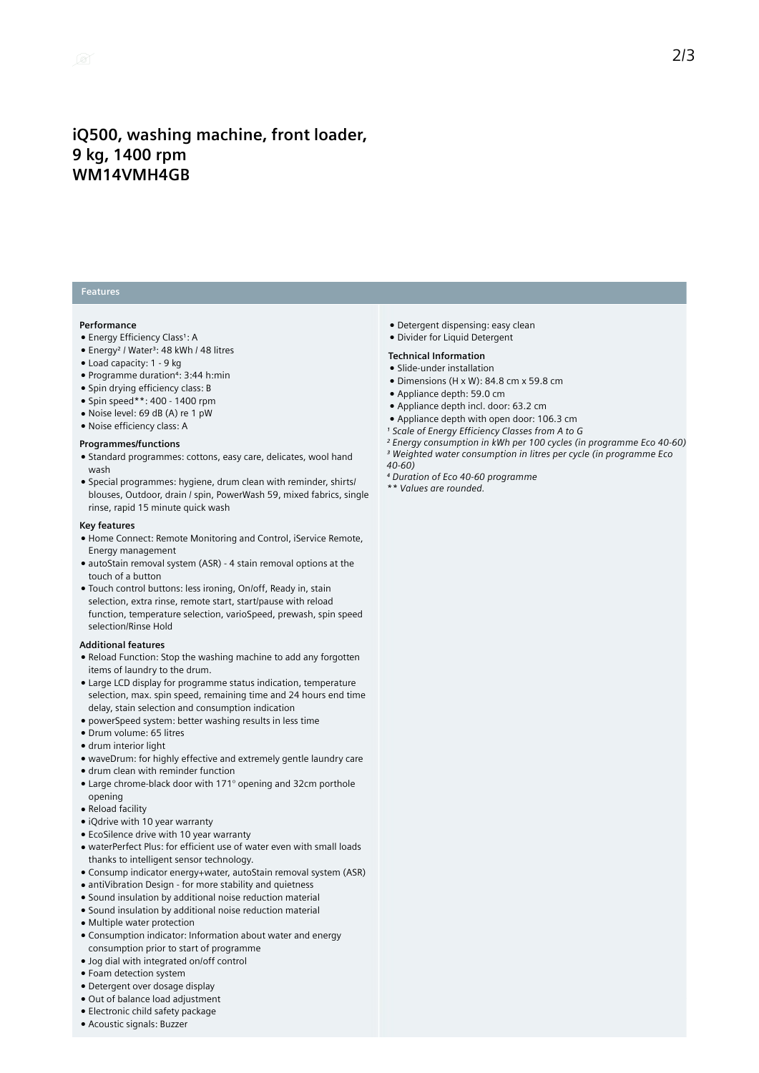## **iQ500, washing machine, front loader, 9 kg, 1400 rpm WM14VMH4GB**

### **Features**

#### **Performance**

- · Energy Efficiency Class<sup>1</sup>: A
- Energy<sup>2</sup> / Water<sup>3</sup>: 48 kWh / 48 litres
- Load capacity: 1 9 kg
- Programme duration⁴: 3:44 h:min
- Spin drying efficiency class: B
- Spin speed\*\*: 400 1400 rpm
- Noise level: 69 dB (A) re 1 pW
- Noise efficiency class: A

#### **Programmes/functions**

- Standard programmes: cottons, easy care, delicates, wool hand wash
- Special programmes: hygiene, drum clean with reminder, shirts/ blouses, Outdoor, drain / spin, PowerWash 59, mixed fabrics, single rinse, rapid 15 minute quick wash

#### **Key features**

- Home Connect: Remote Monitoring and Control, iService Remote, Energy management
- autoStain removal system (ASR) 4 stain removal options at the touch of a button
- Touch control buttons: less ironing, On/off, Ready in, stain selection, extra rinse, remote start, start/pause with reload function, temperature selection, varioSpeed, prewash, spin speed selection/Rinse Hold

#### **Additional features**

- Reload Function: Stop the washing machine to add any forgotten items of laundry to the drum.
- Large LCD display for programme status indication, temperature selection, max. spin speed, remaining time and 24 hours end time delay, stain selection and consumption indication
- powerSpeed system: better washing results in less time
- Drum volume: 65 litres
- drum interior light
- waveDrum: for highly effective and extremely gentle laundry care
- drum clean with reminder function
- Large chrome-black door with 171° opening and 32cm porthole opening
- Reload facility
- iQdrive with 10 year warranty
- EcoSilence drive with 10 year warranty
- waterPerfect Plus: for efficient use of water even with small loads thanks to intelligent sensor technology.
- Consump indicator energy+water, autoStain removal system (ASR)
- antiVibration Design for more stability and quietness
- Sound insulation by additional noise reduction material
- Sound insulation by additional noise reduction material
- Multiple water protection
- Consumption indicator: Information about water and energy consumption prior to start of programme
- Jog dial with integrated on/off control
- Foam detection system
- Detergent over dosage display
- Out of balance load adjustment
- Electronic child safety package
- Acoustic signals: Buzzer
- Detergent dispensing: easy clean
- Divider for Liquid Detergent
- **Technical Information**
- Slide-under installation
- $\bullet$  Dimensions (H x W): 84.8 cm x 59.8 cm
- Appliance depth: 59.0 cm
- Appliance depth incl. door: 63.2 cm
- Appliance depth with open door: 106.3 cm
- *¹ Scale of Energy Efficiency Classes from A to G*
- *² Energy consumption in kWh per 100 cycles (in programme Eco 40-60) ³ Weighted water consumption in litres per cycle (in programme Eco 40-60)*
- *⁴ Duration of Eco 40-60 programme*
- *\*\* Values are rounded.*